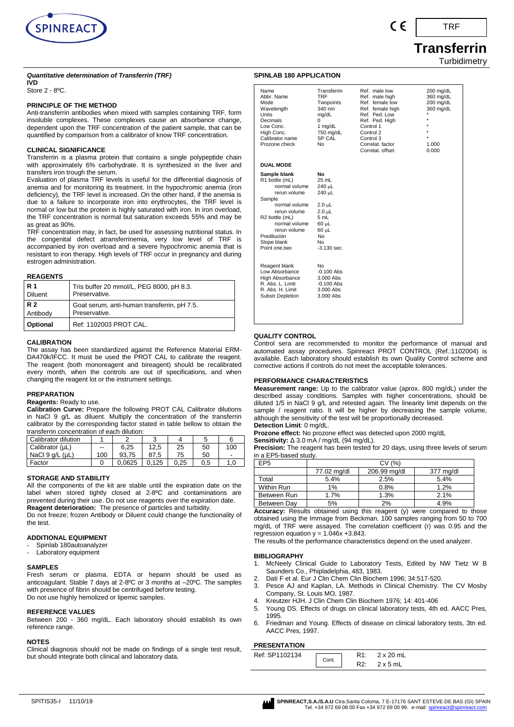

# TRF

# **Transferrin**

**Turbidimetry** 

#### *Quantitative determination of Transferrin (TRF)* **IVD**

Store 2 - 8ºC.

#### **PRINCIPLE OF THE METHOD**

Anti-transferrin antibodies when mixed with samples containing TRF, form insoluble complexes. These complexes cause an absorbance change, dependent upon the TRF concentration of the patient sample, that can be quantified by comparison from a calibrator of know TRF concentration.

#### **CLINICAL SIGNIFICANCE**

Transferrin is a plasma protein that contains a single polypeptide chain with approximately 6% carbohydrate. It is synthesized in the liver and transfers iron trough the serum.

Evaluation of plasma TRF levels is useful for the differential diagnosis of anemia and for monitoring its treatment. In the hypochromic anemia (iron deficiency), the TRF level is increased. On the other hand, if the anemia is due to a failure to incorporate iron into erythrocytes, the TRF level is normal or low but the protein is highly saturated with iron. In iron overload, the TRF concentration is normal but saturation exceeds 55% and may be as great as 90%.

TRF concentration may, in fact, be used for assessing nutritional status. In the congenital defect atransferrinemia, very low level of TRF is accompanied by iron overload and a severe hypochromic anemia that is resistant to iron therapy. High levels of TRF occur in pregnancy and during estrogen administration.

#### **REAGENTS**

| <b>R</b> 1     | Tris buffer 20 mmol/L, PEG 8000, pH 8.3.    |
|----------------|---------------------------------------------|
| <b>Diluent</b> | Preservative.                               |
| <b>R2</b>      | Goat serum, anti-human transferrin, pH 7.5. |
| Antibody       | Preservative.                               |
| Optional       | Ref: 1102003 PROT CAL.                      |

#### **CALIBRATION**

The assay has been standardized against the Reference Material ERM-DA470k/IFCC. It must be used the PROT CAL to calibrate the reagent. The reagent (both monoreagent and bireagent) should be recalibrated every month, when the controls are out of specifications, and when changing the reagent lot or the instrument settings.

#### **PREPARATION**

**Reagents:** Ready to use.

**Calibration Curve:** Prepare the following PROT CAL Calibrator dilutions in NaCl 9 g/L as diluent. Multiply the concentration of the transferrin calibrator by the corresponding factor stated in table bellow to obtain the transferrin concentration of each dilution:

| Calibrator dilution     |       | ◠      |       |      |     |     |
|-------------------------|-------|--------|-------|------|-----|-----|
| Calibrator (µL)         | $- -$ | 6.25   | 12.5  | 25   | 50  | 100 |
| NaCl $9$ q/L ( $\mu$ L) | 100   | 93.75  | 87.5  | 75   | 50  | -   |
| Factor                  |       | 0.0625 | 0.125 | 0.25 | 0.5 | 1.0 |

#### **STORAGE AND STABILITY**

All the components of the kit are stable until the expiration date on the label when stored tightly closed at 2-8ºC and contaminations are prevented during their use. Do not use reagents over the expiration date.

**Reagent deterioration:** The presence of particles and turbidity. Do not freeze; frozen Antibody or Diluent could change the functionality of

the test.

#### **ADDITIONAL EQUIPMENT**

- Spinlab 180autoanalyzer
- Laboratory equipment

#### **SAMPLES**

Fresh serum or plasma. EDTA or heparin should be used as anticoagulant. Stable 7 days at 2-8ºC or 3 months at –20ºC. The samples with presence of fibrin should be centrifuged before testing. Do not use highly hemolized or lipemic samples.

#### **REFERENCE VALUES**

Between 200 - 360 mg/dL. Each laboratory should establish its own reference range.

#### **NOTES**

Clinical diagnosis should not be made on findings of a single test result, but should integrate both clinical and laboratory data.

| Name<br>Abbr. Name<br>Mode<br>Wavelength<br><b>Units</b><br>Decimals<br>Low Conc.<br>High Conc.<br>Calibrator name<br>Prozone check                                                                           | Transferrin<br><b>TRF</b><br>Twopoints<br>340 nm<br>mg/dL<br>0<br>1 mg/dL<br>750 mg/dL<br>SP CAL<br>No                             | Ref. male low<br>Ref. male high<br>Ref. female low<br>Ref. female high<br>Ref. Ped. Low<br>Ref. Ped. High<br>Control 1<br>Control 2<br>Control 3<br>Correlat, factor<br>Correlat, offset | 200 mg/dL<br>360 mg/dL<br>200 mg/dL<br>360 mg/dL<br>$\star$<br>$\star$<br>$\star$<br>$\star$<br>1.000<br>0.000 |
|---------------------------------------------------------------------------------------------------------------------------------------------------------------------------------------------------------------|------------------------------------------------------------------------------------------------------------------------------------|------------------------------------------------------------------------------------------------------------------------------------------------------------------------------------------|----------------------------------------------------------------------------------------------------------------|
| <b>DUAL MODE</b>                                                                                                                                                                                              |                                                                                                                                    |                                                                                                                                                                                          |                                                                                                                |
| Sample blank<br>R1 bottle (mL)<br>normal volume<br>rerun volume<br>Sample<br>normal volume<br>rerun volume<br>R2 bottle (mL)<br>normal volume<br>rerun volume<br>Predilución<br>Slope blank<br>Point one, two | No<br>25 mL<br>240 µL<br>240 µL<br>$2.0 \mu L$<br>$2.0$ uL<br>5 mL<br>$60 \mu L$<br>60 µL<br>N <sub>0</sub><br>No<br>$-3.130$ sec. |                                                                                                                                                                                          |                                                                                                                |
| Reagent blank<br>Low Absorbance<br>High Absorbance<br>R. Abs. L. Limit<br>R. Abs. H. Limit<br>Substr.Depletion                                                                                                | No<br>$-0.100$ Abs<br>3.000 Abs<br>$-0.100$ Abs<br>3.000 Abs<br>3.000 Abs                                                          |                                                                                                                                                                                          |                                                                                                                |

#### **QUALITY CONTROL**

**SPINLAB 180 APPLICATION**

Control sera are recommended to monitor the performance of manual and automated assay procedures. Spinreact PROT CONTROL (Ref.:1102004) is available. Each laboratory should establish its own Quality Control scheme and corrective actions if controls do not meet the acceptable tolerances.

#### **PERFORMANCE CHARACTERISTICS**

**Measurement range:** Up to the calibrator value (aprox. 800 mg/dL) under the described assay conditions. Samples with higher concentrations, should be diluted 1/5 in NaCl 9 g/L and retested again. The linearity limit depends on the sample / reagent ratio. It will be higher by decreasing the sample volume, although the sensitivity of the test will be proportionally decreased.

#### **Detection Limit***:* 0 mg/dL. **Prozone effect:** No prozone effect was detected upon 2000 mg/dL

**Sensitivity:** Δ 3.0 mA / mg/dL (94 mg/dL).

**Precision:** The reagent has been tested for 20 days, using three levels of serum in a EP5-based study.

| EP5         | CV (%)      |              |           |  |  |  |  |
|-------------|-------------|--------------|-----------|--|--|--|--|
|             | 77.02 mg/dl | 206.99 mg/dl | 377 mg/dl |  |  |  |  |
| Total       | 5.4%        | 2.5%         | 5.4%      |  |  |  |  |
| Within Run  | 1%          | 0.8%         | 1.2%      |  |  |  |  |
| Between Run | 1.7%        | 1.3%         | 2.1%      |  |  |  |  |
| Between Dav | 5%          | 2%           | 4.9%      |  |  |  |  |

**Accuracy:** Results obtained using this reagent (y) were compared to those obtained using the Immage from Beckman. 100 samples ranging from 50 to 700 mg/dL of TRF were assayed. The correlation coefficient (r) was 0.95 and the regression equation  $y = 1.046x + 3.843$ .

The results of the performance characteristics depend on the used analyzer.

#### **BIBLIOGRAPHY**

- 1. McNeely Clinical Guide to Laboratory Tests, Edited by NW Tietz W B Saunders Co., Phipladelphia, 483, 1983.
- 2. Dati F et al. Eur J Clin Chem Clin Biochem 1996; 34:517-520.
- 3. Pesce AJ and Kaplan, LA. Methods in Clinical Chemistry. The CV Mosby Company, St. Louis MO, 1987.
- 4. Kreutzer HJH. J Clin Chem Clin Biochem 1976; 14: 401-406
- Young DS. Effects of drugs on clinical laboratory tests, 4th ed. AACC Pres, 1995.
- 6. Friedman and Young. Effects of disease on clinical laboratory tests, 3tn ed. AACC Pres, 1997.

#### **PRESENTATION**

| .              |       |                  |
|----------------|-------|------------------|
| Ref: SP1102134 | Cont. | $2 \times 20$ mL |
|                |       | $2 \times 5$ mL  |

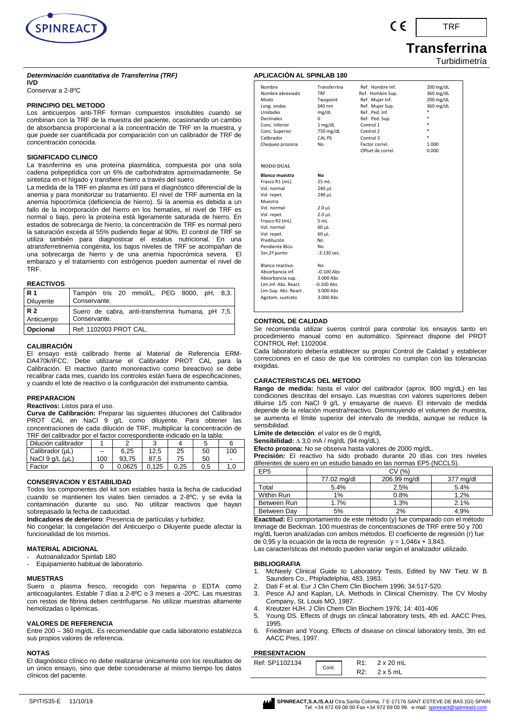

#### *Determinación cuantitativa de Transferrina (TRF)* **IVD**

Conservar a 2-8ºC

#### **PRINCIPIO DEL METODO**

Los anticuerpos anti-TRF forman compuestos insolubles cuando se combinan con la TRF de la muestra del paciente, ocasionando un cambio de absorbancia proporcional a la concentración de TRF en la muestra, y que puede ser cuantificada por comparación con un calibrador de TRF de concentración conocida.

#### **SIGNIFICADO CLINICO**

La trasnferrina es una proteína plasmática, compuesta por una sola cadena polipeptídica con un 6% de carbohidratos aproximadamente. Se sintetiza en el hígado y transfiere hierro a través del suero.

La medida de la TRF en plasma es útil para el diagnóstico diferencial de la anemia y para monitorizar su tratamiento. El nivel de TRF aumenta en la anemia hipocrómica (deficiencia de hierro). Si la anemia es debida a un fallo de la incorporación del hierro en los hematíes, el nivel de TRF es normal o bajo, pero la proteína está ligeramente saturada de hierro. En estados de sobrecarga de hierro, la concentración de TRF es normal pero la saturación exceda al 55% pudiendo llegar al 90%. El control de TRF se utiliza también para diagnosticar el estatus nutricional. En una atransferretinemia congénita, los bajos niveles de TRF se acompañan de una sobrecarga de hierro y de una anemia hipocrómica severa. El embarazo y el tratamiento con estrógenos pueden aumentar el nivel de TRF.

#### **REACTIVOS**

| <b>R</b> 1 | Tampón tris 20 mmol/L, PEG 8000, pH, 8,3.         |
|------------|---------------------------------------------------|
| Diluyente  | Conservante.                                      |
| <b>R2</b>  | Suero de cabra, anti-transferrina humana, pH 7,5. |
| Anticuerpo | Conservante.                                      |
| Opcional   | Ref: 1102003 PROT CAL.                            |

#### **CALIBRACIÓN**

El ensayo está calibrado frente al Material de Referencia ERM-DA470k/IFCC. Debe utilizarse el Calibrador PROT CAL para la Calibración. El reactivo (tanto monoreactivo como bireactivo) se debe recalibrar cada mes, cuando los controles están fuera de especificaciones, y cuando el lote de reactivo o la configuración del instrumento cambia.

#### **PREPARACION**

#### **Reactivos:** Listos para el uso.

**Curva de Calibración:** Preparar las siguientes diluciones del Calibrador PROT CAL en NaCl 9 g/L como diluyente. Para obtener las concentraciones de cada dilución de TRF, multiplicar la concentración de TRF del calibrador por el factor correspondiente indicado en la tabla:

| TIN TUO OUIDIUUU DOL OLIUOLOL OOLIOJDOHUIOHLO IHUIOUUO OH IU LUDIU. |       |        |       |      |     |     |  |
|---------------------------------------------------------------------|-------|--------|-------|------|-----|-----|--|
| Dilución calibrador                                                 |       |        |       |      |     |     |  |
| Calibrador (µL)                                                     | $- -$ | 6.25   | 12.5  | 25   | 50  | 100 |  |
| NaCl $9$ q/L ( $\mu$ L)                                             | 100   | 93.75  | 87.5  | 75   | 50  |     |  |
| Factor                                                              |       | 0.0625 | 0.125 | 0.25 | 0.5 | 1.0 |  |

#### **CONSERVACION Y ESTABILIDAD**

Todos los componentes del kit son estables hasta la fecha de caducidad cuando se mantienen los viales bien cerrados a 2-8ºC, y se evita la contaminación durante su uso. No utilizar reactivos que hayan sobrepasado la fecha de caducidad.

**Indicadores de deterioro**: Presencia de partículas y turbidez.

No congelar; la congelación del Anticuerpo o Diluyente puede afectar la funcionalidad de los mismos.

#### **MATERIAL ADICIONAL**

Autoanalizador Spinlab 180

- Equipamiento habitual de laboratorio.

#### **MUESTRAS**

Suero o plasma fresco, recogido con heparina o EDTA como anticoagulantes. Estable 7 días a 2-8ºC o 3 meses a -20ºC. Las muestras con restos de fibrina deben centrifugarse. No utilizar muestras altamente hemolizadas o lipémicas.

#### **VALORES DE REFERENCIA**

Entre 200 – 360 mg/dL. Es recomendable que cada laboratorio establezca sus propios valores de referencia.

#### **NOTAS**

El diagnóstico clínico no debe realizarse únicamente con los resultados de un único ensayo, sino que debe considerarse al mismo tiempo los datos clínicos del paciente.

| Nombre                | Transferrina       | Ref. Hombre Inf.  | 200 mg/dL |
|-----------------------|--------------------|-------------------|-----------|
| Nombre abreviado      | TRF                | Ref. Hombre Sup.  | 360 mg/dL |
| Modo                  | Twopoint           | Ref. Mujer Inf.   | 200 mg/dL |
| Long. ondas           | 340 nm             | Ref. Mujer Sup.   | 360 mg/dL |
| Unidades              | mg/dL              | Ref. Ped. Inf.    | *         |
| <b>Decimales</b>      | 0                  | Ref. Ped. Sup.    | $\ast$    |
| Conc. Inferior        | $1$ mg/dL          | Control 1         |           |
| Conc. Superior        | 750 mg/dL          | Control 2         |           |
| Calibrador            | CAL PS             | Control 3         | $\ast$    |
| Chequeo prozona       | No                 | Factor correl.    | 1.000     |
|                       |                    | Offset de correl. | 0.000     |
|                       |                    |                   |           |
| <b>MODO DUAL</b>      |                    |                   |           |
| <b>Blanco muestra</b> | Nο                 |                   |           |
| Frasco R1 (mL)        | 25 mL              |                   |           |
| Vol. normal           | 240 µL             |                   |           |
| Vol. repet.           | 240 µL             |                   |           |
| Muestra               |                    |                   |           |
| Vol. normal           | $2.0 \mu L$        |                   |           |
| Vol. repet.           | 2.0 <sub>µ</sub> L |                   |           |
| Frasco R2 (mL)        | 5 mL               |                   |           |
| Vol. normal           | 60 µL              |                   |           |
| Vol. repet.           | 60 µL              |                   |           |
| Predilución           | N <sub>0</sub>     |                   |           |
| Pendiente Blco.       | No                 |                   |           |
| 1er,2º punto          | $-3.130$ sec.      |                   |           |
|                       |                    |                   |           |
| Blanco reactivo       | No                 |                   |           |
| Absorbancia inf.      | $-0.100$ Abs       |                   |           |
| Absorbancia sup.      | 3.000 Abs          |                   |           |
| Lim.Inf. Abs. React.  | $-0.100$ Abs       |                   |           |
| Lim.Sup. Abs. React.  | 3.000 Abs          |                   |           |
| Agotam. sustrato      | 3.000 Abs          |                   |           |
|                       |                    |                   |           |

#### **CONTROL DE CALIDAD**

**APLICACIÓN AL SPINLAB 180**

Se recomienda utilizar sueros control para controlar los ensayos tanto en procedimiento manual como en automático. Spinreact dispone del PROT CONTROL Ref: 1102004.

Cada laboratorio debería establecer su propio Control de Calidad y establecer correcciones en el caso de que los controles no cumplan con las tolerancias exigidas.

#### **CARACTERISTICAS DEL METODO**

**Rango de medida:** hasta el valor del calibrador (aprox. 800 mg/dL) en las condiciones descritas del ensayo. Las muestras con valores superiores deben diluirse 1/5 con NaCl 9 g/L y ensayarse de nuevo. El intervalo de medida depende de la relación muestra/reactivo. Disminuyendo el volumen de muestra, se aumenta el límite superior del intervalo de medida, aunque se reduce la sensibilidad.

**Límite de detección***: el* valor es de 0 mg/dL

Sensibilidad:  $\Delta$  3,0 mA / mg/dL (94 mg/dL).

**Efecto prozona:** No se observa hasta valores de 2000 mg/dL.

**Precisión:** El reactivo ha sido probado durante 20 días con tres niveles diferentes de suero en un estudio basado en las normas EP5 (NCCLS).

| EP5          | (%          |              |           |  |  |  |  |
|--------------|-------------|--------------|-----------|--|--|--|--|
|              | 77.02 ma/dl | 206.99 mg/dl | 377 mg/dl |  |  |  |  |
| <b>Fotal</b> | 5.4%        | 2.5%         | 5.4%      |  |  |  |  |
| Within Run   | 1%          | 0.8%         | 1.2%      |  |  |  |  |
| Between Run  | 1.7%        | 1.3%         | 2.1%      |  |  |  |  |
| Between Dav  | 5%          | 2%           | 4.9%      |  |  |  |  |

**Exactitud:** El comportamiento de este método (y) fue comparado con el método Immage de Beckman. 100 muestras de concentraciones de TRF entre 50 y 700 mg/dL fueron analizadas con ambos métodos. El coeficiente de regresión (r) fue de 0,95 y la ecuación de la recta de regresión  $y = 1,046x + 3,843$ .

Las características del método pueden variar según el analizador utilizado.

#### **BIBLIOGRAFIA**

- 1. McNeely Clinical Guide to Laboratory Tests, Edited by NW Tietz W B Saunders Co., Phipladelphia, 483, 1983.
- 2. Dati F et al. Eur J Clin Chem Clin Biochem 1996; 34:517-520.
- 3. Pesce AJ and Kaplan, LA. Methods in Clinical Chemistry. The CV Mosby Company, St. Louis MO, 1987.
- 4. Kreutzer HJH. J Clin Chem Clin Biochem 1976; 14: 401-406
- 5. Young DS. Effects of drugs on clinical laboratory tests, 4th ed. AACC Pres, 1995.
- 6. Friedman and Young. Effects of disease on clinical laboratory tests, 3tn ed. AACC Pres, 1997.

#### **PRESENTACION**

| Ref: SP1102134 |       | `` | $2 \times 20$ mL |
|----------------|-------|----|------------------|
|                | Cont. | .  | 5 mL             |

## **Transferrina** Turbidimetría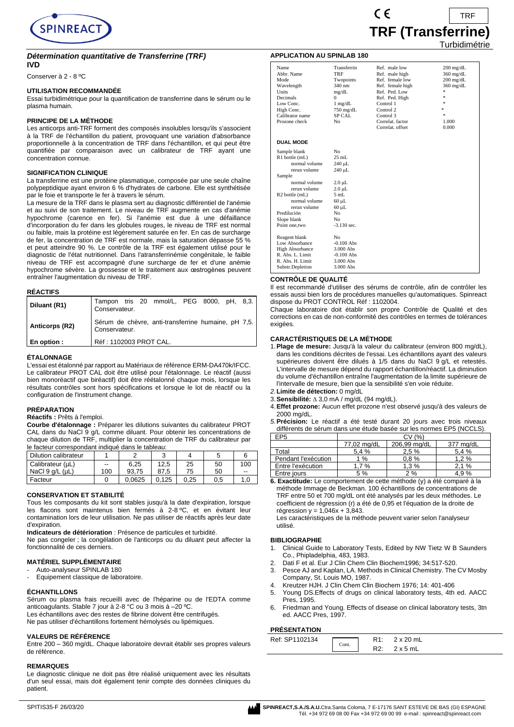

#### *Détermination quantitative de Transferrine (TRF)*

**IVD**

Conserver à 2 - 8 ºC

#### **UTILISATION RECOMMANDÉE**

Essai turbidimétrique pour la quantification de transferrine dans le sérum ou le plasma humain.

#### **PRINCIPE DE LA MÉTHODE**

Les anticorps anti-TRF forment des composés insolubles lorsqu'ils s'associent à la TRF de l'échantillon du patient, provoquant une variation d'absorbance proportionnelle à la concentration de TRF dans l'échantillon, et qui peut être quantifiée par comparaison avec un calibrateur de TRF avant une concentration connue.

#### **SIGNIFICATION CLINIQUE**

La transferrine est une protéine plasmatique, composée par une seule chaîne polypeptidique ayant environ 6 % d'hydrates de carbone. Elle est synthétisée par le foie et transporte le fer à travers le sérum.

La mesure de la TRF dans le plasma sert au diagnostic différentiel de l'anémie et au suivi de son traitement. Le niveau de TRF augmente en cas d'anémie hypochrome (carence en fer). Si l'anémie est due à une défaillance d'incorporation du fer dans les globules rouges, le niveau de TRF est normal ou faible, mais la protéine est légèrement saturée en fer. En cas de surcharge de fer, la concentration de TRF est normale, mais la saturation dépasse 55 % et peut atteindre 90 %. Le contrôle de la TRF est également utilisé pour le diagnostic de l'état nutritionnel. Dans l'atransferrinémie congénitale, le faible niveau de TRF est accompagné d'une surcharge de fer et d'une anémie hypochrome sévère. La grossesse et le traitement aux œstrogènes peuvent entraîner l'augmentation du niveau de TRF.

#### **RÉACTIFS**

| Diluant (R1)   | Tampon tris 20 mmol/L, PEG 8000, pH, 8,3.<br>Conservateur.           |
|----------------|----------------------------------------------------------------------|
| Anticorps (R2) | Sérum de chèvre, anti-transferrine humaine, pH 7,5.<br>Conservateur. |
| En option :    | Réf: 1102003 PROT CAL.                                               |

#### **ÉTALONNAGE**

L'essai est étalonné par rapport au Matériaux de référence ERM-DA470k/IFCC. Le calibrateur PROT CAL doit être utilisé pour l'étalonnage. Le réactif (aussi bien monoréactif que biréactif) doit être réétalonné chaque mois, lorsque les résultats contrôles sont hors spécifications et lorsque le lot de réactif ou la configuration de l'instrument change.

#### **PRÉPARATION**

**Réactifs :** Prêts à l'emploi.

**Courbe d'étalonnage :** Préparer les dilutions suivantes du calibrateur PROT CAL dans du NaCl 9 g/L comme diluant. Pour obtenir les concentrations de chaque dilution de TRF, multiplier la concentration de TRF du calibrateur par le facteur correspondant indiqué dans le tableau:

| Dilution calibrateur    |       |        | ບ     |      |     |     |
|-------------------------|-------|--------|-------|------|-----|-----|
| Calibrateur (µL)        | $- -$ | 6.25   | 12.5  | 25   | 50  | 100 |
| NaCl $9$ $a/L$ ( $uL$ ) | 100   | 93.75  | 87.5  | 75   | 50  | --  |
| Facteur                 |       | 0.0625 | 0.125 | 0.25 | 0.5 |     |

#### **CONSERVATION ET STABILITÉ**

Tous les composants du kit sont stables jusqu'à la date d'expiration, lorsque les flacons sont maintenus bien fermés à 2-8 ºC, et en évitant leur contamination lors de leur utilisation. Ne pas utiliser de réactifs après leur date d'expiration.

**Indicateurs de détérioration** : Présence de particules et turbidité.

Ne pas congeler ; la congélation de l'anticorps ou du diluant peut affecter la fonctionnalité de ces derniers.

#### **MATÉRIEL SUPPLÉMENTAIRE**

Auto-analyseur SPINLAB 180

Equipement classique de laboratoire.

#### **ÉCHANTILLONS**

Sérum ou plasma frais recueilli avec de l'héparine ou de l'EDTA comme anticoagulants. Stable 7 jour à 2-8 °C ou 3 mois à –20 ºC.

Les échantillons avec des restes de fibrine doivent être centrifugés. Ne pas utiliser d'échantillons fortement hémolysés ou lipémiques.

# **VALEURS DE RÉFÉRENCE**

Entre 200 – 360 mg/dL. Chaque laboratoire devrait établir ses propres valeurs de référence.

#### **REMARQUES**

Le diagnostic clinique ne doit pas être réalisé uniquement avec les résultats d'un seul essai, mais doit également tenir compte des données cliniques du patient.



#### **APPLICATION AU SPINLAB 180**

| Name                          | Transferrin    | Ref. male low    | $200 \text{ mg/dL}$ |
|-------------------------------|----------------|------------------|---------------------|
| Abbr. Name                    | TRF            | Ref. male high   | $360 \text{ mg/dL}$ |
| Mode                          | Twopoints      | Ref. female low  | $200 \text{ mg/dL}$ |
| Wavelength                    | 340 nm         | Ref. female high | $360$ mg/dL         |
| Units                         | mg/dL          | Ref. Ped. Low    | ÷.                  |
| Decimals                      | $\Omega$       | Ref. Ped. High   | ź.                  |
| Low Conc.                     | $1$ mg/dL      | Control 1        | 字                   |
| High Conc.                    | $750$ mg/dL    | Control 2        | ÷.                  |
| Calibrator name               | <b>SP CAL</b>  | Control 3        | ż                   |
| Prozone check                 | N <sub>0</sub> | Correlat. factor | 1.000               |
|                               |                | Correlat. offset | 0.000               |
| <b>DUAL MODE</b>              |                |                  |                     |
| Sample blank                  | No             |                  |                     |
| R1 bottle (mL)                | $25$ mL        |                  |                     |
| normal volume                 | 240 µL         |                  |                     |
| rerun volume                  | 240 µL         |                  |                     |
| Sample                        |                |                  |                     |
| normal volume                 | $2.0 \mu L$    |                  |                     |
| rerun volume                  | $2.0 \mu L$    |                  |                     |
| R <sub>2</sub> bottle (mL)    | $5 \text{ mL}$ |                  |                     |
| normal volume                 | $60 \mu L$     |                  |                     |
| rerun volume                  | $60 \mu L$     |                  |                     |
| Predilución                   | N <sub>0</sub> |                  |                     |
|                               | N <sub>0</sub> |                  |                     |
| Slope blank<br>Point one, two | $-3.130$ sec.  |                  |                     |
|                               |                |                  |                     |
| Reagent blank                 | No.            |                  |                     |
| Low Absorbance                | $-0.100$ Abs   |                  |                     |
| <b>High Absorbance</b>        | 3.000 Abs      |                  |                     |
| R. Abs. L. Limit              | $-0.100$ Abs   |                  |                     |
| R. Abs. H. Limit              | 3.000 Abs      |                  |                     |
| Substr.Depletion              | 3.000 Abs      |                  |                     |
|                               |                |                  |                     |

#### **CONTRÔLE DE QUALITÉ**

Il est recommandé d'utiliser des sérums de contrôle, afin de contrôler les essais aussi bien lors de procédures manuelles qu'automatiques. Spinreact dispose du PROT CONTROL Réf : 1102004.

Chaque laboratoire doit établir son propre Contrôle de Qualité et des corrections en cas de non-conformité des contrôles en termes de tolérances exigées.

#### **CARACTÉRISTIQUES DE LA MÉTHODE**

- 1.**Plage de mesure:** Jusqu'à la valeur du calibrateur (environ 800 mg/dL), dans les conditions décrites de l'essai. Les échantillons ayant des valeurs supérieures doivent être dilués à 1/5 dans du NaCl 9 g/L et retestés. L'intervalle de mesure dépend du rapport échantillon/réactif. La diminution du volume d'échantillon entraîne l'augmentation de la limite supérieure de l'intervalle de mesure, bien que la sensibilité s'en voie réduite.
- *2.***Limite de détection:** 0 mg/dL
- 3. **Sensibilité:** ∆ 3,0 mA / mg/dL (94 mg/dL).
- 4.**Effet prozone:** Aucun effet prozone n'est observé jusqu'à des valeurs de 2000 mg/dL.
- *5.***Précision:** Le réactif a été testé durant 20 jours avec trois niveaux différents de sérum dans une étude basée sur les normes EP5 (NCCLS).

| EP5                 | CV(%)       |              |           |  |
|---------------------|-------------|--------------|-----------|--|
|                     | 77,02 mg/dL | 206.99 ma/dL | 377 mg/dL |  |
| Total               | 5.4%        | 2.5 %        | 5.4%      |  |
| Pendant l'exécution | 1 %         | 0.8%         | 1.2%      |  |
| Entre l'exécution   | 1.7 %       | 1,3%         | 2.1%      |  |
| Entre jours         | 5%          | 2%           | 4.9%      |  |

**6. Exactitude:** Le comportement de cette méthode (y) a été comparé à la méthode Immage de Beckman. 100 échantillons de concentrations de TRF entre 50 et 700 mg/dL ont été analysés par les deux méthodes. Le coefficient de régression (r) a été de 0,95 et l'équation de la droite de régression y = 1,046x + 3,843.

Les caractéristiques de la méthode peuvent varier selon l'analyseur utilisé.

#### **BIBLIOGRAPHIE**

- 1. Clinical Guide to Laboratory Tests, Edited by NW Tietz W B Saunders Co., Phipladelphia, 483, 1983.
- 2. Dati F et al. Eur J Clin Chem Clin Biochem1996; 34:517-520.<br>3. Pesce A Land Kanlan, LA Methods in Clinical Chemistry, The
- 3. Pesce AJ and Kaplan, LA. Methods in Clinical Chemistry. The CV Mosby Company, St. Louis MO, 1987.
- 4. Kreutzer HJH. J Clin Chem Clin Biochem 1976; 14: 401-406
- 5. Young DS.Effects of drugs on clinical laboratory tests, 4th ed. AACC Pres, 1995.
- 6. Friedman and Young. Effects of disease on clinical laboratory tests, 3tn ed. AACC Pres, 1997.

#### **PRÉSENTATION**

| .              |       |                  |                  |  |
|----------------|-------|------------------|------------------|--|
| Ref: SP1102134 | Cont. | D <sub>1</sub> . | $2 \times 20$ mL |  |
|                |       | <b>14.</b>       | `x 5 mL          |  |